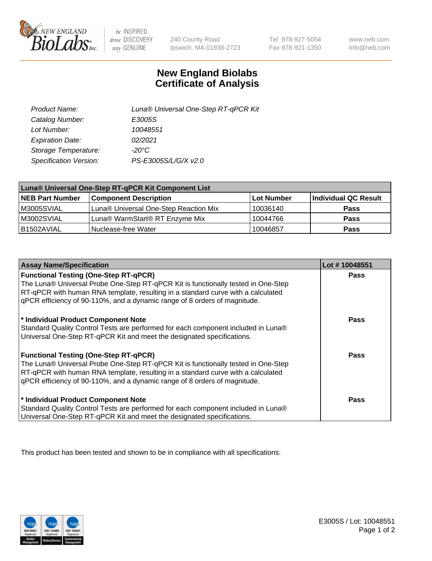

 $be$  INSPIRED drive DISCOVERY stay GENUINE

240 County Road Ipswich, MA 01938-2723

Tel 978-927-5054 Fax 978-921-1350

www.neb.com info@neb.com

## **New England Biolabs Certificate of Analysis**

| Product Name:           | Luna® Universal One-Step RT-qPCR Kit |
|-------------------------|--------------------------------------|
| Catalog Number:         | E3005S                               |
| Lot Number:             | 10048551                             |
| <b>Expiration Date:</b> | 02/2021                              |
| Storage Temperature:    | $-20^{\circ}$ C                      |
| Specification Version:  | PS-E3005S/L/G/X v2.0                 |

| Luna® Universal One-Step RT-qPCR Kit Component List |                                       |            |                      |  |
|-----------------------------------------------------|---------------------------------------|------------|----------------------|--|
| <b>NEB Part Number</b>                              | <b>Component Description</b>          | Lot Number | Individual QC Result |  |
| M3005SVIAL                                          | Luna® Universal One-Step Reaction Mix | 10036140   | <b>Pass</b>          |  |
| M3002SVIAL                                          | Luna® WarmStart® RT Enzyme Mix        | 10044766   | <b>Pass</b>          |  |
| B1502AVIAL                                          | Nuclease-free Water                   | 10046857   | <b>Pass</b>          |  |

| <b>Assay Name/Specification</b>                                                                                                                                                                                                                                                                    | Lot #10048551 |
|----------------------------------------------------------------------------------------------------------------------------------------------------------------------------------------------------------------------------------------------------------------------------------------------------|---------------|
| <b>Functional Testing (One-Step RT-qPCR)</b><br>The Luna® Universal Probe One-Step RT-qPCR Kit is functionally tested in One-Step                                                                                                                                                                  | <b>Pass</b>   |
| RT-qPCR with human RNA template, resulting in a standard curve with a calculated<br>gPCR efficiency of 90-110%, and a dynamic range of 8 orders of magnitude.                                                                                                                                      |               |
| * Individual Product Component Note<br>Standard Quality Control Tests are performed for each component included in Luna®<br>Universal One-Step RT-qPCR Kit and meet the designated specifications.                                                                                                 | Pass          |
| <b>Functional Testing (One-Step RT-qPCR)</b><br>The Luna® Universal Probe One-Step RT-qPCR Kit is functionally tested in One-Step<br>RT-qPCR with human RNA template, resulting in a standard curve with a calculated<br>gPCR efficiency of 90-110%, and a dynamic range of 8 orders of magnitude. | Pass          |
| * Individual Product Component Note<br>Standard Quality Control Tests are performed for each component included in Luna®<br>Universal One-Step RT-qPCR Kit and meet the designated specifications.                                                                                                 | <b>Pass</b>   |

This product has been tested and shown to be in compliance with all specifications.